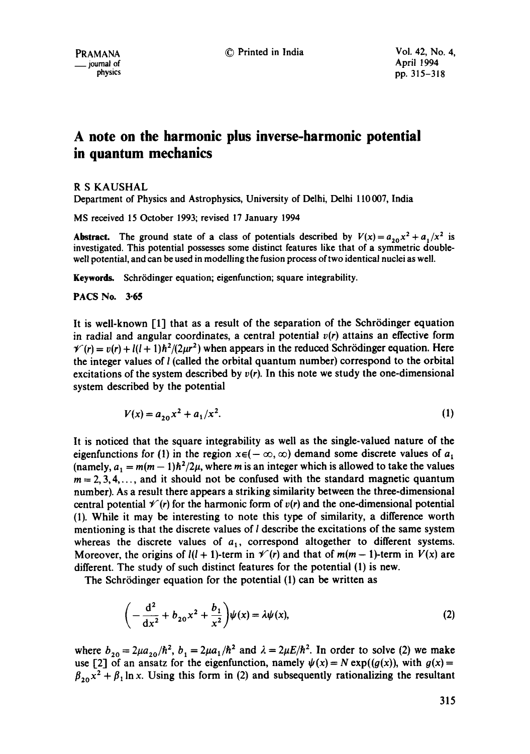© Printed in India Vol. 42, No. 4,

# **A note on the harmonic plus inverse-harmonic potential in quantum mechanics**

R S KAUSHAL

Department of Physics and Astrophysics, University of Delhi, Delhi 110007, India

MS received 15 October 1993; revised 17 January 1994

Abstract. The ground state of a class of potentials described by  $V(x) = a_{20}x^2 + a_1/x^2$  is investigated. This potential possesses some distinct features like that of a symmetric doublewell potential, and can be used in modelling the fusion process of two identical nuclei as well.

Keywords. Schrödinger equation; eigenfunction; square integrability.

PACS No. 3.65

It is well-known  $\lceil 1 \rceil$  that as a result of the separation of the Schrödinger equation in radial and angular coordinates, a central potential  $v(r)$  attains an effective form  $\gamma(r) = v(r) + l(l+1)\hbar^2/(2\mu r^2)$  when appears in the reduced Schrödinger equation. Here the integer values of  $l$  (called the orbital quantum number) correspond to the orbital excitations of the system described by  $v(r)$ . In this note we study the one-dimensional system described by the potential

$$
V(x) = a_{20}x^2 + a_1/x^2.
$$
 (1)

It is noticed that the square integrability as well as the single-valued nature of the eigenfunctions for (1) in the region  $x \in (-\infty, \infty)$  demand some discrete values of  $a_1$ (namely,  $a_1 = m(m-1)\hbar^2/2\mu$ , where m is an integer which is allowed to take the values  $m = 2, 3, 4, \ldots$ , and it should not be confused with the standard magnetic quantum number). As a result there appears a striking similarity between the three-dimensional central potential  $\mathcal{V}(r)$  for the harmonic form of  $v(r)$  and the one-dimensional potential (1). While it may be interesting to note this type of similarity, a difference worth mentioning is that the discrete values of  $l$  describe the excitations of the same system whereas the discrete values of  $a_1$ , correspond altogether to different systems. Moreover, the origins of  $l(l + 1)$ -term in  $V(r)$  and that of  $m(m - 1)$ -term in  $V(x)$  are different. The study of such distinct features for the potential (1) is new.

The Schrödinger equation for the potential (1) can be written as

$$
\left(-\frac{d^2}{dx^2} + b_{20}x^2 + \frac{b_1}{x^2}\right)\psi(x) = \lambda\psi(x),
$$
\n(2)

where  $b_{20} = 2\mu a_{20}/\hbar^2$ ,  $b_1 = 2\mu a_1/\hbar^2$  and  $\lambda = 2\mu E/\hbar^2$ . In order to solve (2) we make use [2] of an ansatz for the eigenfunction, namely  $\psi(x) = N \exp((g(x))$ , with  $g(x) =$  $\beta_{20} x^2 + \beta_1 \ln x$ . Using this form in (2) and subsequently rationalizing the resultant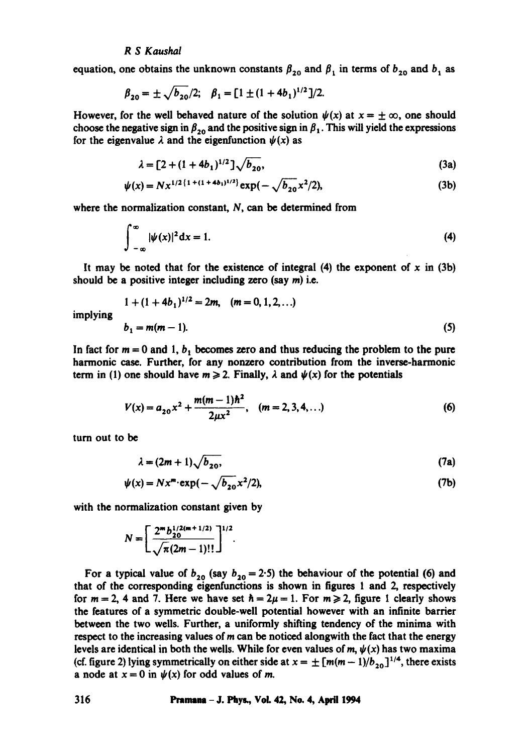## *R S Kaushal*

equation, one obtains the unknown constants  $\beta_{20}$  and  $\beta_1$  in terms of  $b_{20}$  and  $b_1$  as

$$
\beta_{20} = \pm \sqrt{b_{20}}/2;
$$
  $\beta_1 = [1 \pm (1 + 4b_1)^{1/2}]/2.$ 

However, for the well behaved nature of the solution  $\psi(x)$  at  $x = \pm \infty$ , one should choose the negative sign in  $\beta_{20}$  and the positive sign in  $\beta_1$ . This will yield the expressions for the eigenvalue  $\lambda$  and the eigenfunction  $\psi(x)$  as

$$
\lambda = [2 + (1 + 4b_1)^{1/2}] \sqrt{b_{20}}, \tag{3a}
$$

$$
\psi(x) = Nx^{1/2\{1+(1+4b_1)^{1/2}\}}\exp(-\sqrt{b_{20}}x^2/2),\tag{3b}
$$

where the normalization constant, N, can be determined from

$$
\int_{-\infty}^{\infty} |\psi(x)|^2 dx = 1.
$$
 (4)

It may be noted that for the existence of integral  $(4)$  the exponent of x in  $(3b)$ should be a positive integer including zero (say m) i.e.

$$
1 + (1 + 4b_1)^{1/2} = 2m, \quad (m = 0, 1, 2, ...)
$$
  

$$
b_1 = m(m - 1).
$$
 (5)

implying

In fact for  $m = 0$  and 1,  $b_1$  becomes zero and thus reducing the problem to the pure harmonic case. Further, for any nonzero contribution from the inverse-harmonic term in (1) one should have  $m \ge 2$ . Finally,  $\lambda$  and  $\psi(x)$  for the potentials

$$
V(x) = a_{20}x^2 + \frac{m(m-1)\hbar^2}{2\mu x^2}, \quad (m = 2, 3, 4, ...)
$$
 (6)

turn out to be

$$
\lambda = (2m+1)\sqrt{b_{20}},\tag{7a}
$$

$$
\psi(x) = Nx^m \cdot \exp(-\sqrt{b_{20}}x^2/2),\tag{7b}
$$

with the normalization constant given by

$$
N=\left[\frac{2^m\frac{b^{1/2(m+1/2)}}{20}}{\sqrt{\pi}(2m-1)!!}\right]^{1/2}.
$$

For a typical value of  $b_{20}$  (say  $b_{20} = 2.5$ ) the behaviour of the potential (6) and that of the corresponding eigenfunctions is shown in figures 1 and 2, respectively for  $m = 2$ , 4 and 7. Here we have set  $\hbar = 2\mu = 1$ . For  $m \ge 2$ , figure 1 clearly shows the features of a symmetric double-well potential however with an infinite barrier between the two wells. Further, a uniformly shifting tendency of the minima with respect to the increasing values of  $m$  can be noticed alongwith the fact that the energy levels are identical in both the wells. While for even values of  $m$ ,  $\psi(x)$  has two maxima (cf. figure 2) lying symmetrically on either side at  $x = \pm [m(m-1)/b_{20}]^{1/4}$ , there exists a node at  $x = 0$  in  $\psi(x)$  for odd values of m.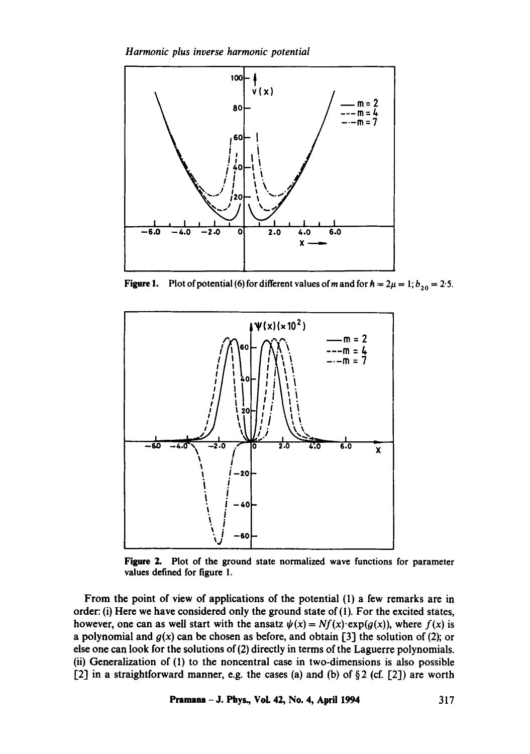*Harmonic plus inverse harmonic potential* 



**Figure 1.** Plot of potential (6) for different values of m and for  $h = 2\mu = 1; b_{20} = 2.5$ .



Figure 2. Plot of the ground state normalized wave functions for parameter values defined for figure 1.

From the point of view of applications of the potential (1) a few remarks are in order: (i) Here we have considered only the ground state of  $(1)$ . For the excited states, however, one can as well start with the ansatz  $\psi(x) = Nf(x) \cdot \exp(g(x))$ , where  $f(x)$  is a polynomial and  $g(x)$  can be chosen as before, and obtain [3] the solution of (2); or else one can look for the solutions of (2) directly in terms of the Laguerre polynomials. (ii) Generalization of (1) to the noncentrai case in two-dimensions is also possible [2] in a straightforward manner, e.g. the cases (a) and (b) of  $\S 2$  (cf. [2]) are worth